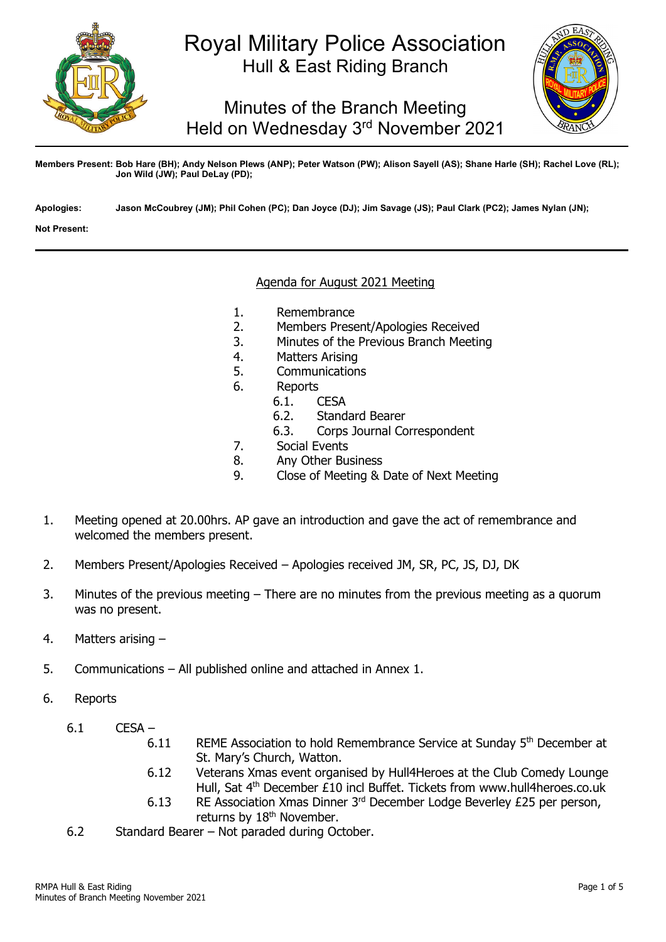

# Royal Military Police Association Hull & East Riding Branch

Minutes of the Branch Meeting Held on Wednesday 3rd November 2021



**Members Present: Bob Hare (BH); Andy Nelson Plews (ANP); Peter Watson (PW); Alison Sayell (AS); Shane Harle (SH); Rachel Love (RL); Jon Wild (JW); Paul DeLay (PD);** 

**Apologies: Jason McCoubrey (JM); Phil Cohen (PC); Dan Joyce (DJ); Jim Savage (JS); Paul Clark (PC2); James Nylan (JN);**

**Not Present:**

#### Agenda for August 2021 Meeting

- 1. Remembrance<br>2. Members Prese
- 2. Members Present/Apologies Received<br>3. Minutes of the Previous Branch Meetir
- 3. Minutes of the Previous Branch Meeting
- 4. Matters Arising<br>5. Communication
- 5. Communications<br>6. Reports
- - Reports<br>6.1. (
	- 6.1. **CESA**<br>6.2. Stand 6.2. Standard Bearer<br>6.3. Corps Journal Co
	- Corps Journal Correspondent
- 7. Social Events
- 8. Any Other Business<br>9. Close of Meeting &
- 9. Close of Meeting & Date of Next Meeting
- 1. Meeting opened at 20.00hrs. AP gave an introduction and gave the act of remembrance and welcomed the members present.
- 2. Members Present/Apologies Received Apologies received JM, SR, PC, JS, DJ, DK
- 3. Minutes of the previous meeting There are no minutes from the previous meeting as a quorum was no present.
- 4. Matters arising –
- 5. Communications All published online and attached in Annex 1.
- 6. Reports
	- 6.1 CESA
		- 6.11 REME Association to hold Remembrance Service at Sunday 5<sup>th</sup> December at St. Mary's Church, Watton.
		- 6.12 Veterans Xmas event organised by Hull4Heroes at the Club Comedy Lounge Hull, Sat 4th December £10 incl Buffet. Tickets from www.hull4heroes.co.uk
		- 6.13 RE Association Xmas Dinner 3rd December Lodge Beverley £25 per person, returns by 18<sup>th</sup> November.
	- 6.2 Standard Bearer Not paraded during October.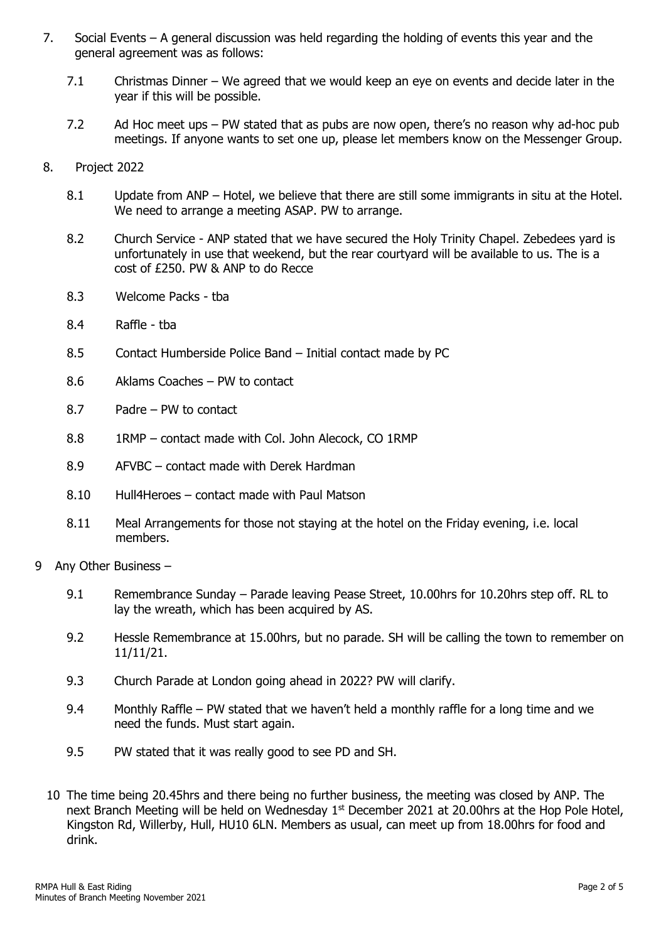- 7. Social Events A general discussion was held regarding the holding of events this year and the general agreement was as follows:
	- 7.1 Christmas Dinner We agreed that we would keep an eye on events and decide later in the year if this will be possible.
	- 7.2 Ad Hoc meet ups PW stated that as pubs are now open, there's no reason why ad-hoc pub meetings. If anyone wants to set one up, please let members know on the Messenger Group.
- 8. Project 2022
	- 8.1 Update from ANP Hotel, we believe that there are still some immigrants in situ at the Hotel. We need to arrange a meeting ASAP. PW to arrange.
	- 8.2 Church Service ANP stated that we have secured the Holy Trinity Chapel. Zebedees yard is unfortunately in use that weekend, but the rear courtyard will be available to us. The is a cost of £250. PW & ANP to do Recce
	- 8.3 Welcome Packs tba
	- 8.4 Raffle tba
	- 8.5 Contact Humberside Police Band Initial contact made by PC
	- 8.6 Aklams Coaches PW to contact
	- 8.7 Padre PW to contact
	- 8.8 1RMP contact made with Col. John Alecock, CO 1RMP
	- 8.9 AFVBC contact made with Derek Hardman
	- 8.10 Hull4Heroes contact made with Paul Matson
	- 8.11 Meal Arrangements for those not staying at the hotel on the Friday evening, i.e. local members.
- 9 Any Other Business
	- 9.1 Remembrance Sunday Parade leaving Pease Street, 10.00 hrs for 10.20 hrs step off. RL to lay the wreath, which has been acquired by AS.
	- 9.2 Hessle Remembrance at 15.00hrs, but no parade. SH will be calling the town to remember on 11/11/21.
	- 9.3 Church Parade at London going ahead in 2022? PW will clarify.
	- 9.4 Monthly Raffle PW stated that we haven't held a monthly raffle for a long time and we need the funds. Must start again.
	- 9.5 PW stated that it was really good to see PD and SH.
	- 10 The time being 20.45hrs and there being no further business, the meeting was closed by ANP. The next Branch Meeting will be held on Wednesday 1<sup>st</sup> December 2021 at 20.00hrs at the Hop Pole Hotel, Kingston Rd, Willerby, Hull, HU10 6LN. Members as usual, can meet up from 18.00hrs for food and drink.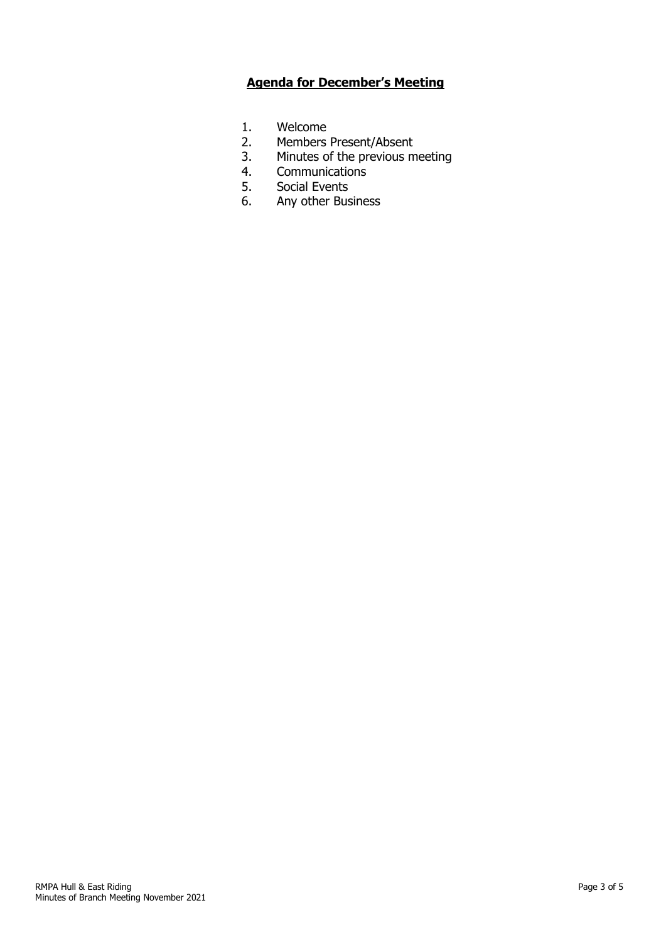## **Agenda for December's Meeting**

- 1. Welcome<br>2. Members
- 2. Members Present/Absent<br>3. Minutes of the previous m
- 3. Minutes of the previous meeting<br>4. Communications
- 4. Communications<br>5. Social Events
- 5. Social Events<br>6. Any other Bus
- Any other Business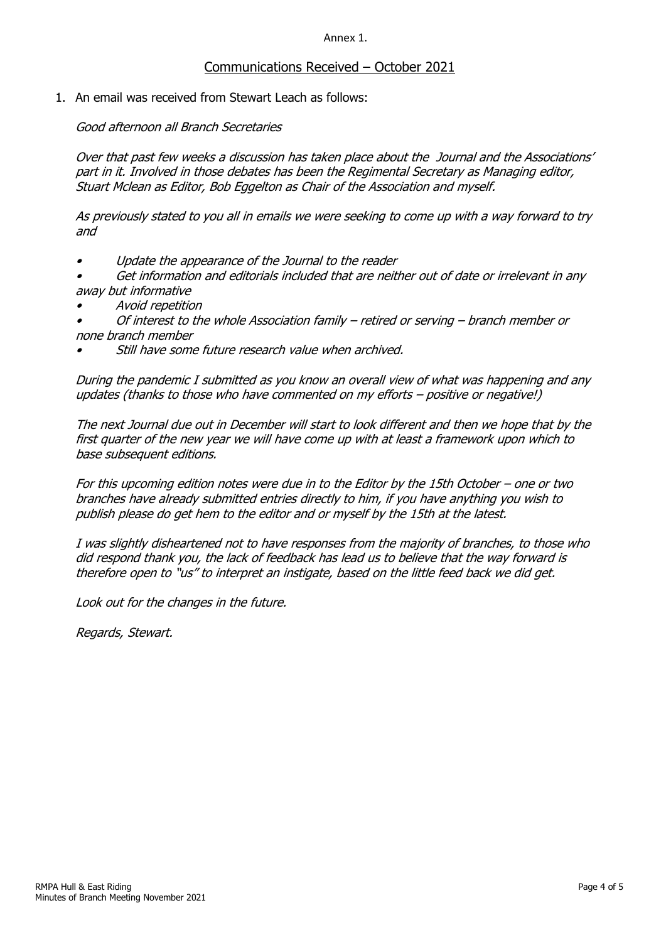Annex 1.

### Communications Received – October 2021

1. An email was received from Stewart Leach as follows:

Good afternoon all Branch Secretaries

Over that past few weeks a discussion has taken place about the Journal and the Associations' part in it. Involved in those debates has been the Regimental Secretary as Managing editor, Stuart Mclean as Editor, Bob Eggelton as Chair of the Association and myself.

As previously stated to you all in emails we were seeking to come up with a way forward to try and

- •Update the appearance of the Journal to the reader
- • Get information and editorials included that are neither out of date or irrelevant in any away but informative
- •Avoid repetition
- • Of interest to the whole Association family – retired or serving – branch member or none branch member
- •Still have some future research value when archived.

During the pandemic I submitted as you know an overall view of what was happening and any updates (thanks to those who have commented on my efforts – positive or negative!)

The next Journal due out in December will start to look different and then we hope that by the first quarter of the new year we will have come up with at least a framework upon which to base subsequent editions.

For this upcoming edition notes were due in to the Editor by the 15th October – one or two branches have already submitted entries directly to him, if you have anything you wish to publish please do get hem to the editor and or myself by the 15th at the latest.

I was slightly disheartened not to have responses from the majority of branches, to those who did respond thank you, the lack of feedback has lead us to believe that the way forward is therefore open to "us" to interpret an instigate, based on the little feed back we did get.

Look out for the changes in the future.

Regards, Stewart.